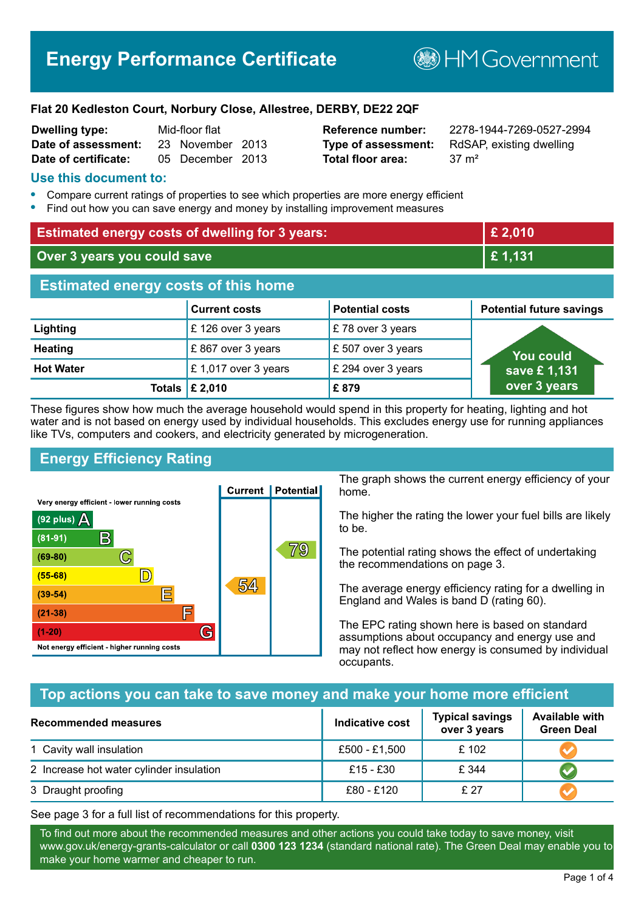# **Energy Performance Certificate**

**BHM Government** 

#### **Flat 20 Kedleston Court, Norbury Close, Allestree, DERBY, DE22 2QF**

| <b>Dwelling type:</b> | Mid-floor flat |                  |  |
|-----------------------|----------------|------------------|--|
| Date of assessment:   |                | 23 November 2013 |  |
| Date of certificate:  |                | 05 December 2013 |  |

# **Total floor area:** 37 m<sup>2</sup>

**Dwelling type:** Mid-floor flat **Reference number:** 2278-1944-7269-0527-2994 **Type of assessment:** RdSAP, existing dwelling

#### **Use this document to:**

- **•** Compare current ratings of properties to see which properties are more energy efficient
- **•** Find out how you can save energy and money by installing improvement measures

| <b>Estimated energy costs of dwelling for 3 years:</b> |                           |                        | £ 2,010                         |
|--------------------------------------------------------|---------------------------|------------------------|---------------------------------|
| Over 3 years you could save                            |                           | £1,131                 |                                 |
| <b>Estimated energy costs of this home</b>             |                           |                        |                                 |
|                                                        | <b>Current costs</b>      | <b>Potential costs</b> | <b>Potential future savings</b> |
| Lighting                                               | £126 over 3 years         | £78 over 3 years       |                                 |
| <b>Heating</b>                                         | £867 over 3 years         | £ 507 over 3 years     | <b>You could</b>                |
| <b>Hot Water</b>                                       | £1,017 over 3 years       | £ 294 over 3 years     | save £1,131                     |
|                                                        | Totals $\mathsf{E}$ 2,010 | £879                   | over 3 years                    |

These figures show how much the average household would spend in this property for heating, lighting and hot water and is not based on energy used by individual households. This excludes energy use for running appliances like TVs, computers and cookers, and electricity generated by microgeneration.

# **Energy Efficiency Rating**



The graph shows the current energy efficiency of your home.

The higher the rating the lower your fuel bills are likely to be.

The potential rating shows the effect of undertaking the recommendations on page 3.

The average energy efficiency rating for a dwelling in England and Wales is band D (rating 60).

The EPC rating shown here is based on standard assumptions about occupancy and energy use and may not reflect how energy is consumed by individual occupants.

# **Top actions you can take to save money and make your home more efficient**

| Recommended measures                     | <b>Indicative cost</b> | <b>Typical savings</b><br>over 3 years | <b>Available with</b><br><b>Green Deal</b> |
|------------------------------------------|------------------------|----------------------------------------|--------------------------------------------|
| 1 Cavity wall insulation                 | £500 - £1,500          | £102                                   |                                            |
| 2 Increase hot water cylinder insulation | £15 - £30              | £ 344                                  |                                            |
| 3 Draught proofing                       | £80 - £120             | £ 27                                   |                                            |

See page 3 for a full list of recommendations for this property.

To find out more about the recommended measures and other actions you could take today to save money, visit www.gov.uk/energy-grants-calculator or call **0300 123 1234** (standard national rate). The Green Deal may enable you to make your home warmer and cheaper to run.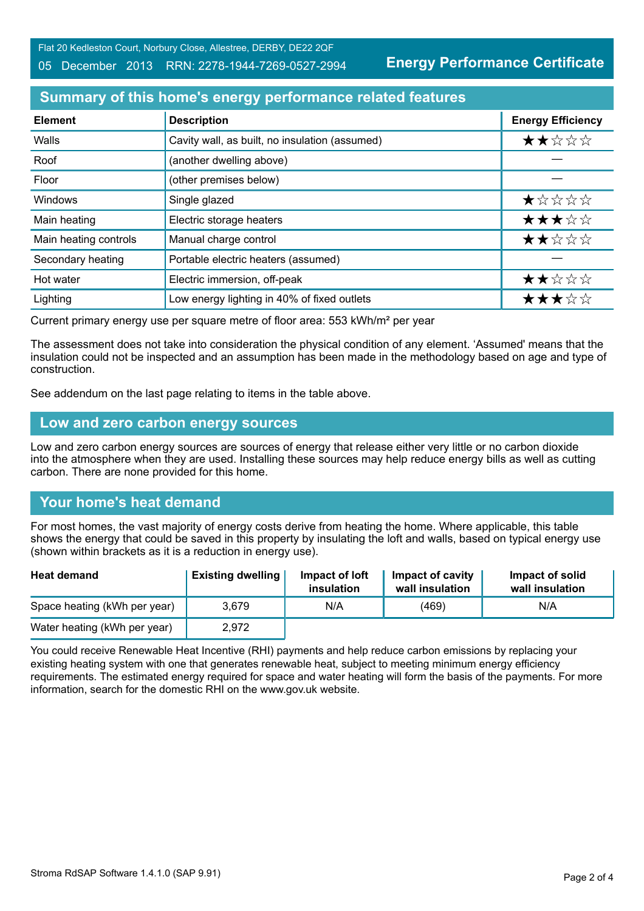Flat 20 Kedleston Court, Norbury Close, Allestree, DERBY, DE22 2QF

#### 05 December 2013 RRN: 2278-1944-7269-0527-2994

**Energy Performance Certificate**

# **Summary of this home's energy performance related features**

| <b>Element</b>        | <b>Description</b>                             | <b>Energy Efficiency</b> |
|-----------------------|------------------------------------------------|--------------------------|
| Walls                 | Cavity wall, as built, no insulation (assumed) | ★★☆☆☆                    |
| Roof                  | (another dwelling above)                       |                          |
| Floor                 | (other premises below)                         |                          |
| Windows               | Single glazed                                  | ★☆☆☆☆                    |
| Main heating          | Electric storage heaters                       | ★★★☆☆                    |
| Main heating controls | Manual charge control                          | ★★☆☆☆                    |
| Secondary heating     | Portable electric heaters (assumed)            |                          |
| Hot water             | Electric immersion, off-peak                   | ★★☆☆☆                    |
| Lighting              | Low energy lighting in 40% of fixed outlets    | ★★★☆☆                    |

Current primary energy use per square metre of floor area: 553 kWh/m² per year

The assessment does not take into consideration the physical condition of any element. 'Assumed' means that the insulation could not be inspected and an assumption has been made in the methodology based on age and type of construction.

See addendum on the last page relating to items in the table above.

#### **Low and zero carbon energy sources**

Low and zero carbon energy sources are sources of energy that release either very little or no carbon dioxide into the atmosphere when they are used. Installing these sources may help reduce energy bills as well as cutting carbon. There are none provided for this home.

# **Your home's heat demand**

For most homes, the vast majority of energy costs derive from heating the home. Where applicable, this table shows the energy that could be saved in this property by insulating the loft and walls, based on typical energy use (shown within brackets as it is a reduction in energy use).

| <b>Heat demand</b>           | <b>Existing dwelling</b> | Impact of loft<br>insulation | Impact of cavity<br>wall insulation | Impact of solid<br>wall insulation |
|------------------------------|--------------------------|------------------------------|-------------------------------------|------------------------------------|
| Space heating (kWh per year) | 3.679                    | N/A                          | (469)                               | N/A                                |
| Water heating (kWh per year) | 2,972                    |                              |                                     |                                    |

You could receive Renewable Heat Incentive (RHI) payments and help reduce carbon emissions by replacing your existing heating system with one that generates renewable heat, subject to meeting minimum energy efficiency requirements. The estimated energy required for space and water heating will form the basis of the payments. For more information, search for the domestic RHI on the www.gov.uk website.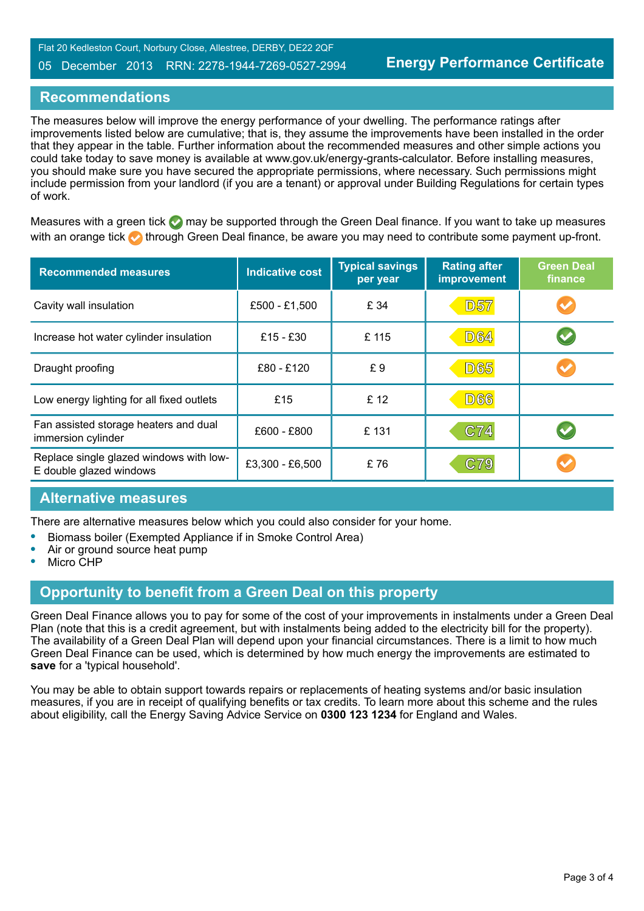#### 05 December 2013 RRN: 2278-1944-7269-0527-2994

#### **Recommendations**

The measures below will improve the energy performance of your dwelling. The performance ratings after improvements listed below are cumulative; that is, they assume the improvements have been installed in the order that they appear in the table. Further information about the recommended measures and other simple actions you could take today to save money is available at www.gov.uk/energy-grants-calculator. Before installing measures, you should make sure you have secured the appropriate permissions, where necessary. Such permissions might include permission from your landlord (if you are a tenant) or approval under Building Regulations for certain types of work.

Measures with a green tick  $\bullet$  may be supported through the Green Deal finance. If you want to take up measures with an orange tick **th** through Green Deal finance, be aware you may need to contribute some payment up-front.

| <b>Recommended measures</b>                                        | <b>Indicative cost</b> | <b>Typical savings</b><br>per year | <b>Rating after</b><br><b>improvement</b> | <b>Green Deal</b><br>finance |
|--------------------------------------------------------------------|------------------------|------------------------------------|-------------------------------------------|------------------------------|
| Cavity wall insulation                                             | £500 - £1,500          | £ 34                               | <b>D57</b>                                | $\blacktriangledown$         |
| Increase hot water cylinder insulation                             | £15 - £30              | £115                               | <b>D64</b>                                | $\blacktriangledown$         |
| Draught proofing                                                   | £80 - £120             | £9                                 | <b>D65</b>                                |                              |
| Low energy lighting for all fixed outlets                          | £15                    | £12                                | <b>D66</b>                                |                              |
| Fan assisted storage heaters and dual<br>immersion cylinder        | £600 - £800            | £131                               | C74                                       |                              |
| Replace single glazed windows with low-<br>E double glazed windows | £3,300 - £6,500        | £76                                | C79                                       |                              |

#### **Alternative measures**

There are alternative measures below which you could also consider for your home.

- **•** Biomass boiler (Exempted Appliance if in Smoke Control Area)
- **•** Air or ground source heat pump
- **•** Micro CHP

# **Opportunity to benefit from a Green Deal on this property**

Green Deal Finance allows you to pay for some of the cost of your improvements in instalments under a Green Deal Plan (note that this is a credit agreement, but with instalments being added to the electricity bill for the property). The availability of a Green Deal Plan will depend upon your financial circumstances. There is a limit to how much Green Deal Finance can be used, which is determined by how much energy the improvements are estimated to **save** for a 'typical household'.

You may be able to obtain support towards repairs or replacements of heating systems and/or basic insulation measures, if you are in receipt of qualifying benefits or tax credits. To learn more about this scheme and the rules about eligibility, call the Energy Saving Advice Service on **0300 123 1234** for England and Wales.